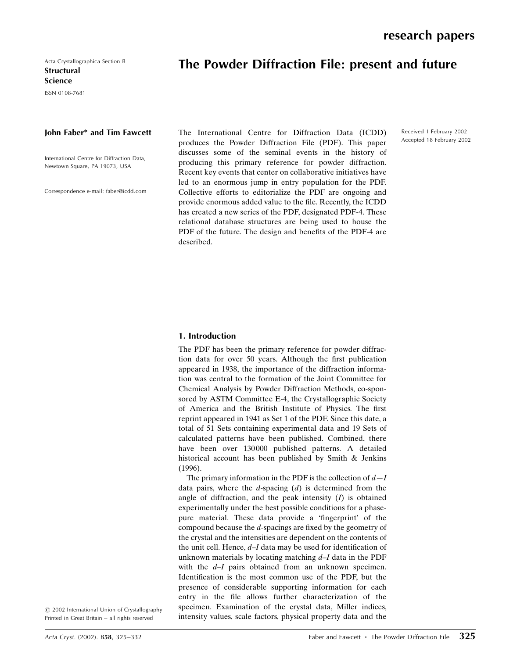Acta Crystallographica Section B **Structural** Science

ISSN 0108-7681

#### John Faber\* and Tim Fawcett

International Centre for Diffraction Data, Newtown Square, PA 19073, USA

Correspondence e-mail: faber@icdd.com

The International Centre for Diffraction Data (ICDD) produces the Powder Diffraction File (PDF). This paper discusses some of the seminal events in the history of producing this primary reference for powder diffraction. Recent key events that center on collaborative initiatives have led to an enormous jump in entry population for the PDF. Collective efforts to editorialize the PDF are ongoing and provide enormous added value to the file. Recently, the ICDD has created a new series of the PDF, designated PDF-4. These relational database structures are being used to house the PDF of the future. The design and benefits of the PDF-4 are described.

The Powder Diffraction File: present and future

Received 1 February 2002 Accepted 18 February 2002

## 1. Introduction

The PDF has been the primary reference for powder diffraction data for over 50 years. Although the first publication appeared in 1938, the importance of the diffraction information was central to the formation of the Joint Committee for Chemical Analysis by Powder Diffraction Methods, co-sponsored by ASTM Committee E-4, the Crystallographic Society of America and the British Institute of Physics. The first reprint appeared in 1941 as Set 1 of the PDF. Since this date, a total of 51 Sets containing experimental data and 19 Sets of calculated patterns have been published. Combined, there have been over 130000 published patterns. A detailed historical account has been published by Smith & Jenkins (1996).

The primary information in the PDF is the collection of  $d-I$ data pairs, where the d-spacing  $(d)$  is determined from the angle of diffraction, and the peak intensity  $(I)$  is obtained experimentally under the best possible conditions for a phasepure material. These data provide a 'fingerprint' of the compound because the  $d$ -spacings are fixed by the geometry of the crystal and the intensities are dependent on the contents of the unit cell. Hence,  $d-I$  data may be used for identification of unknown materials by locating matching  $d-I$  data in the PDF with the  $d-I$  pairs obtained from an unknown specimen. Identification is the most common use of the PDF, but the presence of considerable supporting information for each entry in the file allows further characterization of the specimen. Examination of the crystal data, Miller indices, intensity values, scale factors, physical property data and the

 $\odot$  2002 International Union of Crystallography Printed in Great Britain - all rights reserved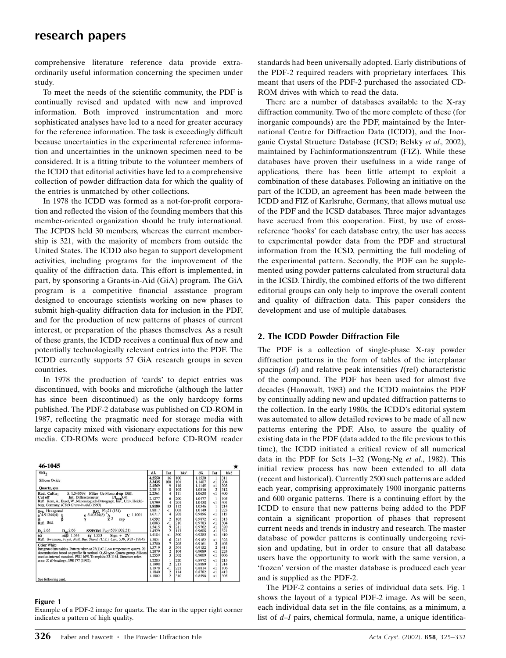comprehensive literature reference data provide extraordinarily useful information concerning the specimen under study.

To meet the needs of the scientific community, the PDF is continually revised and updated with new and improved information. Both improved instrumentation and more sophisticated analyses have led to a need for greater accuracy for the reference information. The task is exceedingly difficult because uncertainties in the experimental reference information and uncertainties in the unknown specimen need to be considered. It is a fitting tribute to the volunteer members of the ICDD that editorial activities have led to a comprehensive collection of powder diffraction data for which the quality of the entries is unmatched by other collections.

In 1978 the ICDD was formed as a not-for-profit corporation and reflected the vision of the founding members that this member-oriented organization should be truly international. The JCPDS held 30 members, whereas the current membership is 321, with the majority of members from outside the United States. The ICDD also began to support development activities, including programs for the improvement of the quality of the diffraction data. This effort is implemented, in part, by sponsoring a Grants-in-Aid (GiA) program. The GiA program is a competitive financial assistance program designed to encourage scientists working on new phases to submit high-quality diffraction data for inclusion in the PDF, and for the production of new patterns of phases of current interest, or preparation of the phases themselves. As a result of these grants, the ICDD receives a continual flux of new and potentially technologically relevant entries into the PDF. The ICDD currently supports 57 GiA research groups in seven countries.

In 1978 the production of 'cards' to depict entries was discontinued, with books and microfiche (although the latter has since been discontinued) as the only hardcopy forms published. The PDF-2 database was published on CD-ROM in 1987, reflecting the pragmatic need for storage media with large capacity mixed with visionary expectations for this new media. CD-ROMs were produced before CD-ROM reader

| SiO <sub>2</sub>                                                                                                    | dÅ               | <b>Int</b>               | hkl        | dÅ               | <b>Tnt</b>                       | hkl        |
|---------------------------------------------------------------------------------------------------------------------|------------------|--------------------------|------------|------------------|----------------------------------|------------|
| <b>Silicon Oxide</b>                                                                                                | 4.2550<br>3.3435 | 16<br>100                | 100<br>101 | 1.1530           | 1                                | 311<br>204 |
|                                                                                                                     | 2.4569           | 9                        | 110        | 1.1407<br>1.1145 | <1<br>$\leq$ 1                   | 303        |
| Quartz, syn                                                                                                         | 2.2815           | 8                        | 102        | 1.0816           | $\overline{2}$                   | 312        |
| Rad. Cu $K\alpha_1$<br>$\lambda$ 1.540598 Filter Ge Mono. d-sp Diff.                                                | 2.2361           | $\overline{\mathbf{4}}$  | 111        | 1.0638           | $\leq$ 1                         | 400        |
| Cut off<br>Int. Diffractometer<br>$M_{cor}$ 3.41                                                                    | 2.1277           | 6                        | 200        | 1.0477           | 1                                | 105        |
| Ref. Kem, A., Eysel, W., Mineralogisch-Petrograph. Inst., Univ. Heidel-<br>berg, Germany, ICDD Grant-in-Aid, (1993) | 1.9799           | $\overline{4}$           | 201        | 1.0438           | <1                               | 401        |
|                                                                                                                     | 1.8180           | 13                       | 112        | 1.0346           | 1                                | 214        |
| S.G. $P3_221(154)$<br>Sys. Hexagonal                                                                                | 1.8017           | $\leq$ 1                 | 003        | 1.0149           | 1                                | 223        |
| $C$ 1.1001<br>$a^{4.91344(4)} b$<br>$c$ 5.40524(8) A                                                                | 1.6717           | $\overline{\mathbf{4}}$  | 202        | 0.9896           | $\leq$ 1                         | 115        |
| Z <sub>3</sub><br>ß<br>$\alpha$<br>mp                                                                               | 1.6592           | $\overline{2}$           | 103        | 0.9872           | <1                               | 313        |
| Ref. Ibid.                                                                                                          | 1.6083           | $\leq$ 1                 | 210        | 0.9783           | <1                               | 304        |
| $D_y$ 2.65<br>$D_m^2$ 2.66<br>SS/FOM F <sub>30</sub> =539(.002,31)                                                  | 1.5415<br>1.4529 | 9<br>$\overline{2}$      | 211        | 0.9762<br>0.9608 | $\leq$                           | 320<br>321 |
|                                                                                                                     | 1.4184           | $\leq$ 1                 | 113<br>300 | 0.9285           | $\leq$ 1<br><1                   | 410        |
| $e\gamma$ 1.553<br>noB 1.544<br>$Sign + 2V$<br>$\mathbf{r}$                                                         |                  |                          |            |                  |                                  |            |
| Ref. Swanson, Fuyat, Natl. Bur. Stand. (U.S.), Circ. 539, 3 24 (1954)                                               | 1.3821           | 6<br>$\overline{7}$      | 212        | 0.9182           | <1                               | 322        |
| <b>Color White</b>                                                                                                  | 1.3750<br>1.3719 | 5                        | 203<br>301 | 0.9161<br>0.9152 | $\overline{2}$<br>$\overline{c}$ | 403<br>411 |
| Integrated intensities. Pattern taken at $23(1)$ C. Low temperature quartz. $2\theta$                               | 1.2879           | $\overline{c}$           | 104        | 0.9089           | $\leq$                           | 224        |
| determination based on profile fit method. O <sub>2</sub> Si type. Quartz group. Silicon                            | 1.2559           | 3                        | 302        | 0.9009           | $\leq$                           | 006        |
| used as internal standard. PSC: hP9. To replace 33-1161. Structure refer-                                           | 1.2283           |                          | 220        | 0.8972           | <1                               | 215        |
| ence: Z. Kristallogr., 198 177 (1992).                                                                              | 1.1998           | 1<br>$\overline{c}$      | 213        | 0.8889           | 1                                | 314        |
|                                                                                                                     | 1.1978           | $\leq$ 1                 | 221        | 0.8814           | <1                               | 106        |
|                                                                                                                     | 1.1840           | $\overline{c}$           | 114        | 0.8782           | <1                               | 412        |
|                                                                                                                     | 1.1802           | $\overline{\phantom{a}}$ | 310        | 0.8598           | $\leq$                           | 305        |
| See following card.                                                                                                 |                  |                          |            |                  |                                  |            |

#### Figure 1

Example of a PDF-2 image for quartz. The star in the upper right corner indicates a pattern of high quality.

326 Faber and Fawcett  $\cdot$  The Powder Diffraction File  $\cdot$  Acta Cryst. (2002). B58, 325-332

standards had been universally adopted. Early distributions of the PDF-2 required readers with proprietary interfaces. This meant that users of the PDF-2 purchased the associated CD-ROM drives with which to read the data.

There are a number of databases available to the X-ray diffraction community. Two of the more complete of these (for inorganic compounds) are the PDF, maintained by the International Centre for Diffraction Data (ICDD), and the Inorganic Crystal Structure Database (ICSD; Belsky et al., 2002), maintained by Fachinformationszentrum (FIZ). While these databases have proven their usefulness in a wide range of applications, there has been little attempt to exploit a combination of these databases. Following an initiative on the part of the ICDD, an agreement has been made between the ICDD and FIZ of Karlsruhe, Germany, that allows mutual use of the PDF and the ICSD databases. Three major advantages have accrued from this cooperation. First, by use of crossreference 'hooks' for each database entry, the user has access to experimental powder data from the PDF and structural information from the ICSD, permitting the full modeling of the experimental pattern. Secondly, the PDF can be supplemented using powder patterns calculated from structural data in the ICSD. Thirdly, the combined efforts of the two different editorial groups can only help to improve the overall content and quality of diffraction data. This paper considers the development and use of multiple databases.

## 2. The ICDD Powder Diffraction File

The PDF is a collection of single-phase X-ray powder diffraction patterns in the form of tables of the interplanar spacings  $(d)$  and relative peak intensities  $I$ (rel) characteristic of the compound. The PDF has been used for almost five decades (Hanawalt, 1983) and the ICDD maintains the PDF by continually adding new and updated diffraction patterns to the collection. In the early 1980s, the ICDD's editorial system was automated to allow detailed reviews to be made of all new patterns entering the PDF. Also, to assure the quality of existing data in the PDF (data added to the file previous to this time), the ICDD initiated a critical review of all numerical data in the PDF for Sets 1-32 (Wong-Ng et al., 1982). This initial review process has now been extended to all data (recent and historical). Currently 2500 such patterns are added each year, comprising approximately 1900 inorganic patterns and 600 organic patterns. There is a continuing effort by the ICDD to ensure that new patterns being added to the PDF contain a significant proportion of phases that represent current needs and trends in industry and research. The master database of powder patterns is continually undergoing revision and updating, but in order to ensure that all database users have the opportunity to work with the same version, a `frozen' version of the master database is produced each year and is supplied as the PDF-2.

The PDF-2 contains a series of individual data sets. Fig. 1 shows the layout of a typical PDF-2 image. As will be seen, each individual data set in the file contains, as a minimum, a list of  $d-I$  pairs, chemical formula, name, a unique identifica-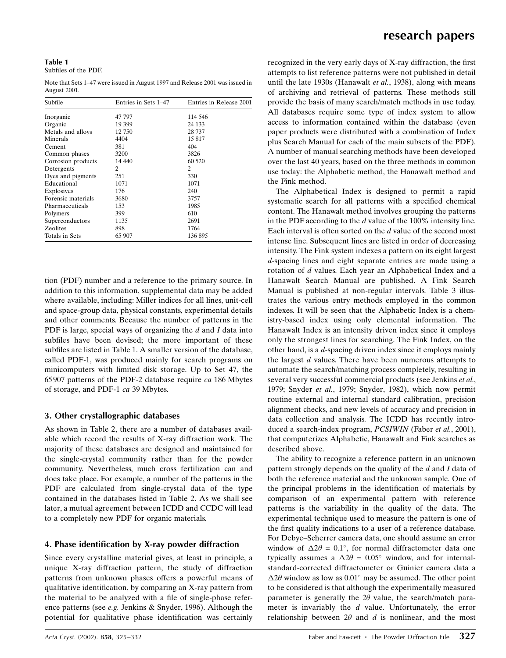### Table 1

Subfiles of the PDF.

Note that Sets 1-47 were issued in August 1997 and Release 2001 was issued in August 2001.

| Subfile            | Entries in Sets 1-47 | Entries in Release 2001 |
|--------------------|----------------------|-------------------------|
| Inorganic          | 47 797               | 114 546                 |
| Organic            | 19 399               | 24 133                  |
| Metals and alloys  | 12 750               | 28 737                  |
| Minerals           | 4404                 | 15817                   |
| Cement             | 381                  | 404                     |
| Common phases      | 3200                 | 3826                    |
| Corrosion products | 14 440               | 60 520                  |
| Detergents         | 2                    | 2                       |
| Dyes and pigments  | 251                  | 330                     |
| Educational        | 1071                 | 1071                    |
| Explosives         | 176                  | 240                     |
| Forensic materials | 3680                 | 3757                    |
| Pharmaceuticals    | 153                  | 1985                    |
| Polymers           | 399                  | 610                     |
| Superconductors    | 1135                 | 2691                    |
| Zeolites           | 898                  | 1764                    |
| Totals in Sets     | 65 907               | 136 895                 |

tion (PDF) number and a reference to the primary source. In addition to this information, supplemental data may be added where available, including: Miller indices for all lines, unit-cell and space-group data, physical constants, experimental details and other comments. Because the number of patterns in the PDF is large, special ways of organizing the  $d$  and  $I$  data into subfiles have been devised; the more important of these subfiles are listed in Table 1. A smaller version of the database, called PDF-1, was produced mainly for search programs on minicomputers with limited disk storage. Up to Set 47, the 65907 patterns of the PDF-2 database require ca 186 Mbytes of storage, and PDF-1 ca 39 Mbytes.

# 3. Other crystallographic databases

As shown in Table 2, there are a number of databases available which record the results of X-ray diffraction work. The majority of these databases are designed and maintained for the single-crystal community rather than for the powder community. Nevertheless, much cross fertilization can and does take place. For example, a number of the patterns in the PDF are calculated from single-crystal data of the type contained in the databases listed in Table 2. As we shall see later, a mutual agreement between ICDD and CCDC will lead to a completely new PDF for organic materials.

# 4. Phase identification by X-ray powder diffraction

Since every crystalline material gives, at least in principle, a unique X-ray diffraction pattern, the study of diffraction patterns from unknown phases offers a powerful means of qualitative identification, by comparing an X-ray pattern from the material to be analyzed with a file of single-phase reference patterns (see e.g. Jenkins & Snyder, 1996). Although the potential for qualitative phase identification was certainly

recognized in the very early days of X-ray diffraction, the first attempts to list reference patterns were not published in detail until the late 1930s (Hanawalt et al., 1938), along with means of archiving and retrieval of patterns. These methods still provide the basis of many search/match methods in use today. All databases require some type of index system to allow access to information contained within the database (even paper products were distributed with a combination of Index plus Search Manual for each of the main subsets of the PDF). A number of manual searching methods have been developed over the last 40 years, based on the three methods in common use today: the Alphabetic method, the Hanawalt method and the Fink method.

The Alphabetical Index is designed to permit a rapid systematic search for all patterns with a specified chemical content. The Hanawalt method involves grouping the patterns in the PDF according to the d value of the 100% intensity line. Each interval is often sorted on the d value of the second most intense line. Subsequent lines are listed in order of decreasing intensity. The Fink system indexes a pattern on its eight largest d-spacing lines and eight separate entries are made using a rotation of d values. Each year an Alphabetical Index and a Hanawalt Search Manual are published. A Fink Search Manual is published at non-regular intervals. Table 3 illustrates the various entry methods employed in the common indexes. It will be seen that the Alphabetic Index is a chemistry-based index using only elemental information. The Hanawalt Index is an intensity driven index since it employs only the strongest lines for searching. The Fink Index, on the other hand, is a d-spacing driven index since it employs mainly the largest d values. There have been numerous attempts to automate the search/matching process completely, resulting in several very successful commercial products (see Jenkins et al., 1979; Snyder et al., 1979; Snyder, 1982), which now permit routine external and internal standard calibration, precision alignment checks, and new levels of accuracy and precision in data collection and analysis. The ICDD has recently introduced a search-index program, PCSIWIN (Faber et al., 2001), that computerizes Alphabetic, Hanawalt and Fink searches as described above.

The ability to recognize a reference pattern in an unknown pattern strongly depends on the quality of the d and I data of both the reference material and the unknown sample. One of the principal problems in the identification of materials by comparison of an experimental pattern with reference patterns is the variability in the quality of the data. The experimental technique used to measure the pattern is one of the first quality indications to a user of a reference database. For Debye–Scherrer camera data, one should assume an error window of  $\Delta 2\theta = 0.1^{\circ}$ , for normal diffractometer data one typically assumes a  $\Delta 2\theta = 0.05^{\circ}$  window, and for internalstandard-corrected diffractometer or Guinier camera data a  $\Delta 2\theta$  window as low as 0.01° may be assumed. The other point to be considered is that although the experimentally measured parameter is generally the  $2\theta$  value, the search/match parameter is invariably the  $d$  value. Unfortunately, the error relationship between  $2\theta$  and d is nonlinear, and the most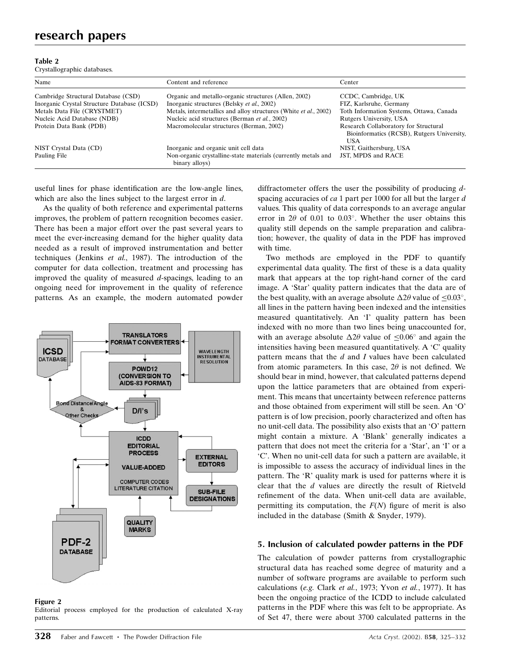# research papers

#### Table 2

Crystallographic databases.

| Name                                        | Content and reference                                                           | Center                                                                                            |
|---------------------------------------------|---------------------------------------------------------------------------------|---------------------------------------------------------------------------------------------------|
| Cambridge Structural Database (CSD)         | Organic and metallo-organic structures (Allen, 2002)                            | CCDC, Cambridge, UK                                                                               |
| Inorganic Crystal Structure Database (ICSD) | Inorganic structures (Belsky et al., 2002)                                      | FIZ, Karlsruhe, Germany                                                                           |
| Metals Data File (CRYSTMET)                 | Metals, intermetallics and alloy structures (White et al., 2002)                | Toth Information Systems, Ottawa, Canada                                                          |
| Nucleic Acid Database (NDB)                 | Nucleic acid structures (Berman et al., 2002)                                   | Rutgers University, USA                                                                           |
| Protein Data Bank (PDB)                     | Macromolecular structures (Berman, 2002)                                        | Research Collaboratory for Structural<br>Bioinformatics (RCSB), Rutgers University,<br><b>USA</b> |
| NIST Crystal Data (CD)                      | Inorganic and organic unit cell data                                            | NIST, Gaithersburg, USA                                                                           |
| Pauling File                                | Non-organic crystalline-state materials (currently metals and<br>binary alloys) | JST, MPDS and RACE                                                                                |

useful lines for phase identification are the low-angle lines, which are also the lines subject to the largest error in d.

As the quality of both reference and experimental patterns improves, the problem of pattern recognition becomes easier. There has been a major effort over the past several years to meet the ever-increasing demand for the higher quality data needed as a result of improved instrumentation and better techniques (Jenkins et al., 1987). The introduction of the computer for data collection, treatment and processing has improved the quality of measured d-spacings, leading to an ongoing need for improvement in the quality of reference patterns. As an example, the modern automated powder



Figure 2 Editorial process employed for the production of calculated X-ray patterns.

diffractometer offers the user the possibility of producing  $d$ spacing accuracies of  $ca$  1 part per 1000 for all but the larger  $d$ values. This quality of data corresponds to an average angular error in  $2\theta$  of 0.01 to 0.03°. Whether the user obtains this quality still depends on the sample preparation and calibration; however, the quality of data in the PDF has improved with time.

Two methods are employed in the PDF to quantify experimental data quality. The first of these is a data quality mark that appears at the top right-hand corner of the card image. A 'Star' quality pattern indicates that the data are of the best quality, with an average absolute  $\Delta 2\theta$  value of  $\leq 0.03^{\circ}$ , all lines in the pattern having been indexed and the intensities measured quantitatively. An `I' quality pattern has been indexed with no more than two lines being unaccounted for, with an average absolute  $\Delta 2\theta$  value of <0.06° and again the intensities having been measured quantitatively. A `C' quality pattern means that the d and I values have been calculated from atomic parameters. In this case,  $2\theta$  is not defined. We should bear in mind, however, that calculated patterns depend upon the lattice parameters that are obtained from experiment. This means that uncertainty between reference patterns and those obtained from experiment will still be seen. An `O' pattern is of low precision, poorly characterized and often has no unit-cell data. The possibility also exists that an `O' pattern might contain a mixture. A `Blank' generally indicates a pattern that does not meet the criteria for a 'Star', an 'I' or a `C'. When no unit-cell data for such a pattern are available, it is impossible to assess the accuracy of individual lines in the pattern. The 'R' quality mark is used for patterns where it is clear that the d values are directly the result of Rietveld refinement of the data. When unit-cell data are available, permitting its computation, the  $F(N)$  figure of merit is also included in the database (Smith & Snyder, 1979).

#### 5. Inclusion of calculated powder patterns in the PDF

The calculation of powder patterns from crystallographic structural data has reached some degree of maturity and a number of software programs are available to perform such calculations (e.g. Clark et al., 1973; Yvon et al., 1977). It has been the ongoing practice of the ICDD to include calculated patterns in the PDF where this was felt to be appropriate. As of Set 47, there were about 3700 calculated patterns in the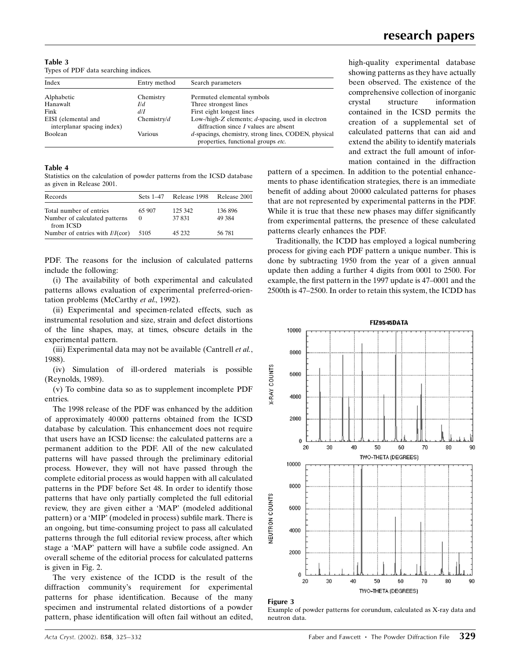Table 3 Types of PDF data searching indices.

| Index                                             | Entry method   | Search parameters                                                                                  |
|---------------------------------------------------|----------------|----------------------------------------------------------------------------------------------------|
| Alphabetic                                        | Chemistry      | Permuted elemental symbols                                                                         |
| Hanawalt                                          | I/d            | Three strongest lines                                                                              |
| Fink                                              | dlI            | First eight longest lines                                                                          |
| EISI (elemental and<br>interplanar spacing index) | Chemistry/ $d$ | Low-/high- $Z$ elements; $d$ -spacing, used in electron<br>diffraction since $I$ values are absent |
| Boolean                                           | Various        | d-spacings, chemistry, strong lines, CODEN, physical<br>properties, functional groups etc.         |

Table 4

Statistics on the calculation of powder patterns from the ICSD database as given in Release 2001.

| Records                                    | Sets 1–47 | Release 1998 | Release 2001 |
|--------------------------------------------|-----------|--------------|--------------|
| Total number of entries                    | 65 907    | 125 342      | 136 896      |
| Number of calculated patterns<br>from ICSD | $\Omega$  | 37 831       | 49 3 84      |
| Number of entries with $I/I$ (cor)         | 5105      | 45 232       | 56 781       |
|                                            |           |              |              |

PDF. The reasons for the inclusion of calculated patterns include the following:

(i) The availability of both experimental and calculated patterns allows evaluation of experimental preferred-orientation problems (McCarthy et al., 1992).

(ii) Experimental and specimen-related effects, such as instrumental resolution and size, strain and defect distortions of the line shapes, may, at times, obscure details in the experimental pattern.

(iii) Experimental data may not be available (Cantrell et al., 1988).

(iv) Simulation of ill-ordered materials is possible (Reynolds, 1989).

(v) To combine data so as to supplement incomplete PDF entries.

The 1998 release of the PDF was enhanced by the addition of approximately 40000 patterns obtained from the ICSD database by calculation. This enhancement does not require that users have an ICSD license: the calculated patterns are a permanent addition to the PDF. All of the new calculated patterns will have passed through the preliminary editorial process. However, they will not have passed through the complete editorial process as would happen with all calculated patterns in the PDF before Set 48. In order to identify those patterns that have only partially completed the full editorial review, they are given either a 'MAP' (modeled additional pattern) or a 'MIP' (modeled in process) subfile mark. There is an ongoing, but time-consuming project to pass all calculated patterns through the full editorial review process, after which stage a 'MAP' pattern will have a subfile code assigned. An overall scheme of the editorial process for calculated patterns is given in Fig. 2.

The very existence of the ICDD is the result of the diffraction community's requirement for experimental patterns for phase identification. Because of the many specimen and instrumental related distortions of a powder pattern, phase identification will often fail without an edited,

high-quality experimental database showing patterns as they have actually been observed. The existence of the comprehensive collection of inorganic crystal structure information contained in the ICSD permits the creation of a supplemental set of calculated patterns that can aid and extend the ability to identify materials and extract the full amount of information contained in the diffraction

pattern of a specimen. In addition to the potential enhancements to phase identification strategies, there is an immediate benefit of adding about 20000 calculated patterns for phases that are not represented by experimental patterns in the PDF. While it is true that these new phases may differ significantly from experimental patterns, the presence of these calculated patterns clearly enhances the PDF.

Traditionally, the ICDD has employed a logical numbering process for giving each PDF pattern a unique number. This is done by subtracting 1950 from the year of a given annual update then adding a further 4 digits from 0001 to 2500. For example, the first pattern in the 1997 update is 47-0001 and the 2500th is 47–2500. In order to retain this system, the ICDD has



Figure 3

Example of powder patterns for corundum, calculated as X-ray data and neutron data.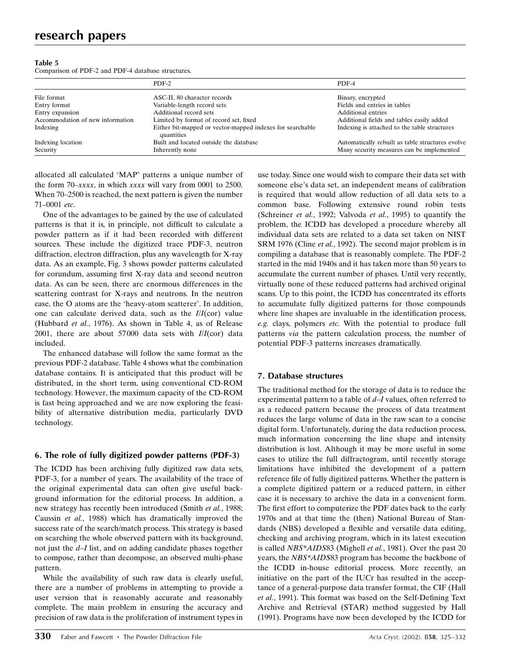### Table 5

Comparison of PDF-2 and PDF-4 database structures.

|                                  | PDF-2                                                                   | PDF-4                                            |
|----------------------------------|-------------------------------------------------------------------------|--------------------------------------------------|
| File format                      | ASC-II, 80 character records                                            | Binary, encrypted                                |
| Entry format                     | Variable-length record sets                                             | Fields and entries in tables                     |
| Entry expansion                  | Additional record sets                                                  | Additional entries                               |
| Accommodation of new information | Limited by format of record set, fixed                                  | Additional fields and tables easily added        |
| Indexing                         | Either bit-mapped or vector-mapped indexes for searchable<br>quantities | Indexing is attached to the table structures     |
| Indexing location                | Built and located outside the database                                  | Automatically rebuilt as table structures evolve |
| Security                         | Inherently none                                                         | Many security measures can be implemented        |

allocated all calculated `MAP' patterns a unique number of the form  $70-xxxx$ , in which xxxx will vary from 0001 to 2500. When 70–2500 is reached, the next pattern is given the number 71-0001 etc.

One of the advantages to be gained by the use of calculated patterns is that it is, in principle, not difficult to calculate a powder pattern as if it had been recorded with different sources. These include the digitized trace PDF-3, neutron diffraction, electron diffraction, plus any wavelength for X-ray data. As an example, Fig. 3 shows powder patterns calculated for corundum, assuming first X-ray data and second neutron data. As can be seen, there are enormous differences in the scattering contrast for X-rays and neutrons. In the neutron case, the O atoms are the `heavy-atom scatterer'. In addition, one can calculate derived data, such as the  $I/I$ (cor) value (Hubbard et al., 1976). As shown in Table 4, as of Release 2001, there are about  $57000$  data sets with  $I/I$ (cor) data included.

The enhanced database will follow the same format as the previous PDF-2 database. Table 4 shows what the combination database contains. It is anticipated that this product will be distributed, in the short term, using conventional CD-ROM technology. However, the maximum capacity of the CD-ROM is fast being approached and we are now exploring the feasibility of alternative distribution media, particularly DVD technology.

## 6. The role of fully digitized powder patterns (PDF-3)

The ICDD has been archiving fully digitized raw data sets, PDF-3, for a number of years. The availability of the trace of the original experimental data can often give useful background information for the editorial process. In addition, a new strategy has recently been introduced (Smith et al., 1988; Caussin et al., 1988) which has dramatically improved the success rate of the search/match process. This strategy is based on searching the whole observed pattern with its background, not just the  $d-I$  list, and on adding candidate phases together to compose, rather than decompose, an observed multi-phase pattern.

While the availability of such raw data is clearly useful, there are a number of problems in attempting to provide a user version that is reasonably accurate and reasonably complete. The main problem in ensuring the accuracy and precision of raw data is the proliferation of instrument types in

use today. Since one would wish to compare their data set with someone else's data set, an independent means of calibration is required that would allow reduction of all data sets to a common base. Following extensive round robin tests (Schreiner et al., 1992; Valvoda et al., 1995) to quantify the problem, the ICDD has developed a procedure whereby all individual data sets are related to a data set taken on NIST SRM 1976 (Cline et al., 1992). The second major problem is in compiling a database that is reasonably complete. The PDF-2 started in the mid 1940s and it has taken more than 50 years to accumulate the current number of phases. Until very recently, virtually none of these reduced patterns had archived original scans. Up to this point, the ICDD has concentrated its efforts to accumulate fully digitized patterns for those compounds where line shapes are invaluable in the identification process, e.g. clays, polymers etc. With the potential to produce full patterns via the pattern calculation process, the number of potential PDF-3 patterns increases dramatically.

# 7. Database structures

The traditional method for the storage of data is to reduce the experimental pattern to a table of  $d-I$  values, often referred to as a reduced pattern because the process of data treatment reduces the large volume of data in the raw scan to a concise digital form. Unfortunately, during the data reduction process, much information concerning the line shape and intensity distribution is lost. Although it may be more useful in some cases to utilize the full diffractogram, until recently storage limitations have inhibited the development of a pattern reference file of fully digitized patterns. Whether the pattern is a complete digitized pattern or a reduced pattern, in either case it is necessary to archive the data in a convenient form. The first effort to computerize the PDF dates back to the early 1970s and at that time the (then) National Bureau of Standards (NBS) developed a flexible and versatile data editing, checking and archiving program, which in its latest execution is called NBS\*AIDS83 (Mighell et al., 1981). Over the past 20 years, the NBS\*AIDS83 program has become the backbone of the ICDD in-house editorial process. More recently, an initiative on the part of the IUCr has resulted in the acceptance of a general-purpose data transfer format, the CIF (Hall et al., 1991). This format was based on the Self-Defining Text Archive and Retrieval (STAR) method suggested by Hall (1991). Programs have now been developed by the ICDD for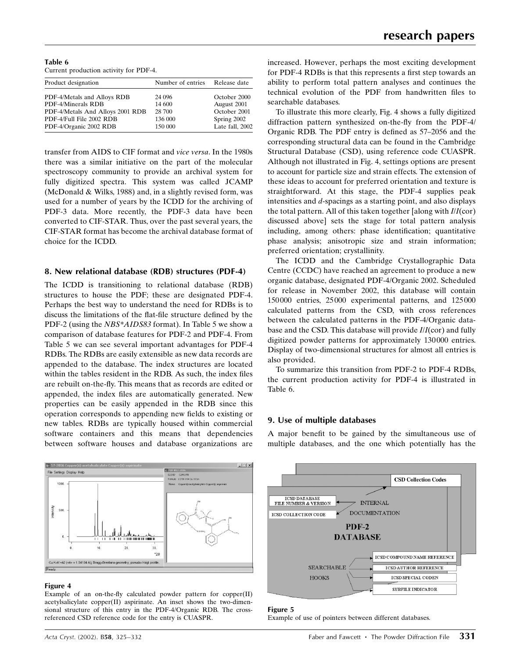Table 6 Current production activity for PDF-4.

| Product designation              | Number of entries | Release date    |
|----------------------------------|-------------------|-----------------|
| PDF-4/Metals and Alloys RDB      | 24 096            | October 2000    |
| PDF-4/Minerals RDB               | 14 600            | August 2001     |
| PDF-4/Metals And Alloys 2001 RDB | 28 700            | October 2001    |
| PDF-4/Full File 2002 RDB         | 136 000           | Spring 2002     |
| PDF-4/Organic 2002 RDB           | 150 000           | Late fall, 2002 |
|                                  |                   |                 |

transfer from AIDS to CIF format and vice versa. In the 1980s there was a similar initiative on the part of the molecular spectroscopy community to provide an archival system for fully digitized spectra. This system was called JCAMP (McDonald & Wilks, 1988) and, in a slightly revised form, was used for a number of years by the ICDD for the archiving of PDF-3 data. More recently, the PDF-3 data have been converted to CIF-STAR. Thus, over the past several years, the CIF-STAR format has become the archival database format of choice for the ICDD.

#### 8. New relational database (RDB) structures (PDF-4)

The ICDD is transitioning to relational database (RDB) structures to house the PDF; these are designated PDF-4. Perhaps the best way to understand the need for RDBs is to discuss the limitations of the flat-file structure defined by the PDF-2 (using the NBS\*AIDS83 format). In Table 5 we show a comparison of database features for PDF-2 and PDF-4. From Table 5 we can see several important advantages for PDF-4 RDBs. The RDBs are easily extensible as new data records are appended to the database. The index structures are located within the tables resident in the RDB. As such, the index files are rebuilt on-the-fly. This means that as records are edited or appended, the index files are automatically generated. New properties can be easily appended in the RDB since this operation corresponds to appending new fields to existing or new tables. RDBs are typically housed within commercial software containers and this means that dependencies between software houses and database organizations are

increased. However, perhaps the most exciting development for PDF-4 RDBs is that this represents a first step towards an ability to perform total pattern analyses and continues the technical evolution of the PDF from handwritten files to searchable databases.

To illustrate this more clearly, Fig. 4 shows a fully digitized diffraction pattern synthesized on-the-fly from the PDF-4/ Organic RDB. The PDF entry is defined as 57–2056 and the corresponding structural data can be found in the Cambridge Structural Database (CSD), using reference code CUASPR. Although not illustrated in Fig. 4, settings options are present to account for particle size and strain effects. The extension of these ideas to account for preferred orientation and texture is straightforward. At this stage, the PDF-4 supplies peak intensities and d-spacings as a starting point, and also displays the total pattern. All of this taken together [along with  $I/I(cor)$ ] discussed above] sets the stage for total pattern analysis including, among others: phase identification; quantitative phase analysis; anisotropic size and strain information; preferred orientation; crystallinity.

The ICDD and the Cambridge Crystallographic Data Centre (CCDC) have reached an agreement to produce a new organic database, designated PDF-4/Organic 2002. Scheduled for release in November 2002, this database will contain 150000 entries, 25000 experimental patterns, and 125000 calculated patterns from the CSD, with cross references between the calculated patterns in the PDF-4/Organic database and the CSD. This database will provide  $I/I$ (cor) and fully digitized powder patterns for approximately 130000 entries. Display of two-dimensional structures for almost all entries is also provided.

To summarize this transition from PDF-2 to PDF-4 RDBs, the current production activity for PDF-4 is illustrated in Table 6.

#### 9. Use of multiple databases

A major benefit to be gained by the simultaneous use of multiple databases, and the one which potentially has the



#### Figure 4

Example of an on-the-fly calculated powder pattern for  $copper(II)$ acetylsalicylate copper(II) aspirinate. An inset shows the two-dimensional structure of this entry in the PDF-4/Organic RDB. The crossreferenced CSD reference code for the entry is CUASPR.



Figure 5

Example of use of pointers between different databases.